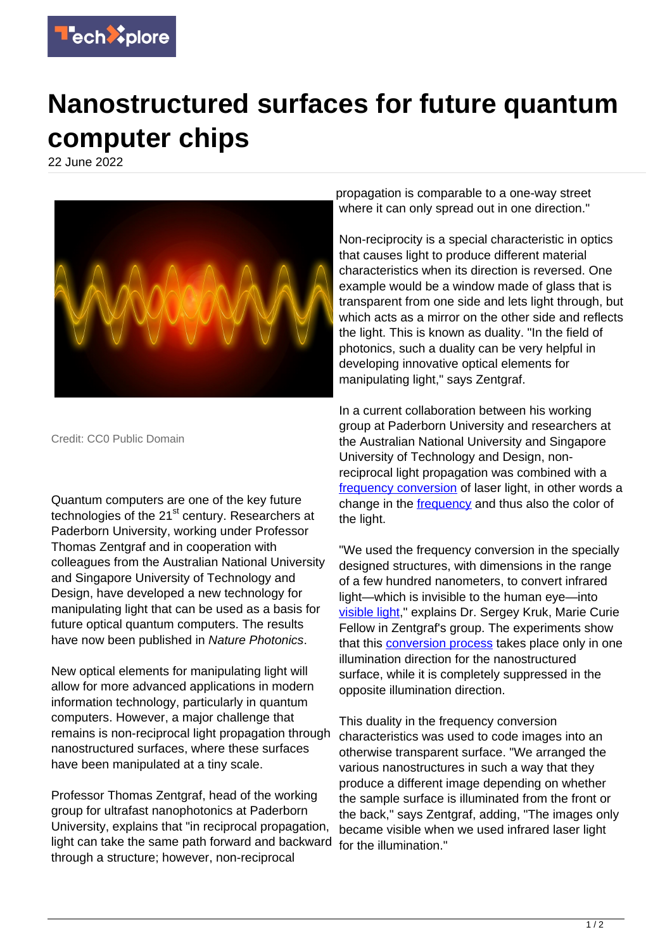

## **Nanostructured surfaces for future quantum computer chips**

22 June 2022



Credit: CC0 Public Domain

Quantum computers are one of the key future technologies of the 21<sup>st</sup> century. Researchers at Paderborn University, working under Professor Thomas Zentgraf and in cooperation with colleagues from the Australian National University and Singapore University of Technology and Design, have developed a new technology for manipulating light that can be used as a basis for future optical quantum computers. The results have now been published in Nature Photonics.

New optical elements for manipulating light will allow for more advanced applications in modern information technology, particularly in quantum computers. However, a major challenge that remains is non-reciprocal light propagation through nanostructured surfaces, where these surfaces have been manipulated at a tiny scale.

Professor Thomas Zentgraf, head of the working group for ultrafast nanophotonics at Paderborn University, explains that "in reciprocal propagation, light can take the same path forward and backward through a structure; however, non-reciprocal

propagation is comparable to a one-way street where it can only spread out in one direction."

Non-reciprocity is a special characteristic in optics that causes light to produce different material characteristics when its direction is reversed. One example would be a window made of glass that is transparent from one side and lets light through, but which acts as a mirror on the other side and reflects the light. This is known as duality. "In the field of photonics, such a duality can be very helpful in developing innovative optical elements for manipulating light," says Zentgraf.

In a current collaboration between his working group at Paderborn University and researchers at the Australian National University and Singapore University of Technology and Design, nonreciprocal light propagation was combined with a [frequency conversion](https://techxplore.com/tags/frequency+conversion/) of laser light, in other words a change in the [frequency](https://techxplore.com/tags/frequency/) and thus also the color of the light.

"We used the frequency conversion in the specially designed structures, with dimensions in the range of a few hundred nanometers, to convert infrared light—which is invisible to the human eye—into [visible light](https://techxplore.com/tags/visible+light/)," explains Dr. Sergey Kruk, Marie Curie Fellow in Zentgraf's group. The experiments show that this [conversion process](https://techxplore.com/tags/conversion+process/) takes place only in one illumination direction for the nanostructured surface, while it is completely suppressed in the opposite illumination direction.

This duality in the frequency conversion characteristics was used to code images into an otherwise transparent surface. "We arranged the various nanostructures in such a way that they produce a different image depending on whether the sample surface is illuminated from the front or the back," says Zentgraf, adding, "The images only became visible when we used infrared laser light for the illumination."